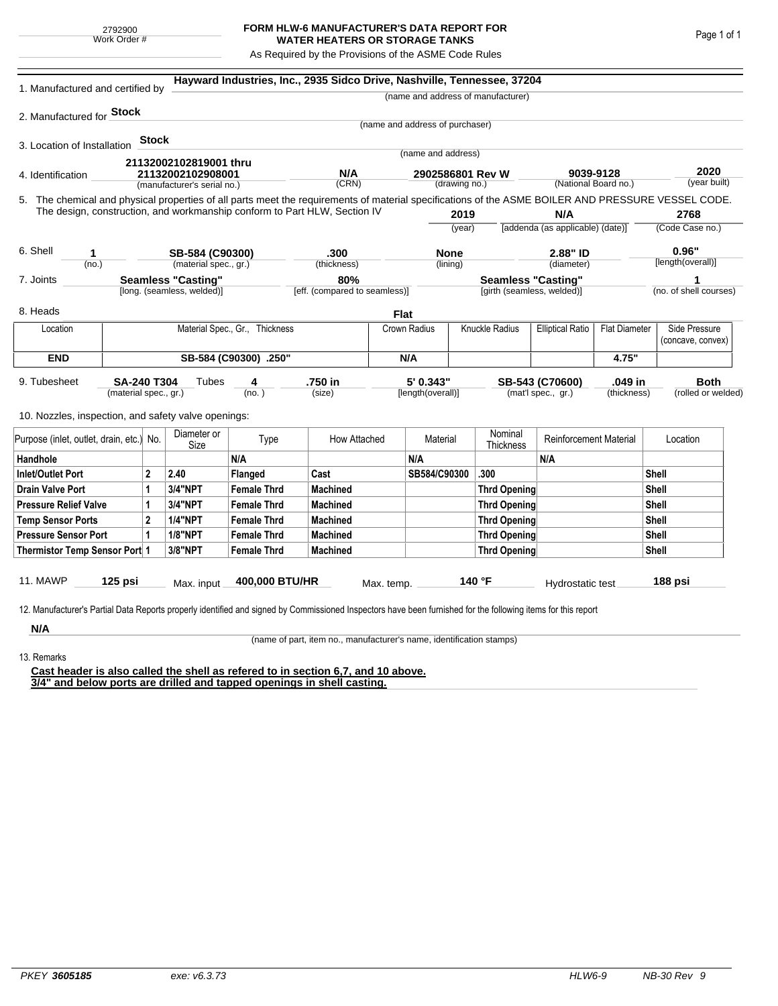## **FORM HLW-6 MANUFACTURER'S DATA REPORT FOR WATER HEATERS OR STORAGE TANKS**

As Required by the Provisions of the ASME Code Rules

| 1. Manufactured and certified by                                                                                                                              |                                                                      |              |                                                  |                    | Hayward Industries, Inc., 2935 Sidco Drive, Nashville, Tennessee, 37204   |                                      |                                   |                     |                                                         |                                   |             |                                    |                        |
|---------------------------------------------------------------------------------------------------------------------------------------------------------------|----------------------------------------------------------------------|--------------|--------------------------------------------------|--------------------|---------------------------------------------------------------------------|--------------------------------------|-----------------------------------|---------------------|---------------------------------------------------------|-----------------------------------|-------------|------------------------------------|------------------------|
|                                                                                                                                                               |                                                                      |              |                                                  |                    |                                                                           |                                      |                                   |                     | (name and address of manufacturer)                      |                                   |             |                                    |                        |
| 2. Manufactured for <b>Stock</b>                                                                                                                              |                                                                      |              |                                                  |                    |                                                                           |                                      |                                   |                     |                                                         |                                   |             |                                    |                        |
|                                                                                                                                                               |                                                                      |              |                                                  |                    |                                                                           |                                      | (name and address of purchaser)   |                     |                                                         |                                   |             |                                    |                        |
| 3. Location of Installation                                                                                                                                   |                                                                      | <b>Stock</b> |                                                  |                    |                                                                           |                                      | (name and address)                |                     |                                                         |                                   |             |                                    |                        |
|                                                                                                                                                               |                                                                      |              | 21132002102819001 thru                           |                    |                                                                           |                                      |                                   |                     |                                                         |                                   |             |                                    |                        |
| 4. Identification                                                                                                                                             |                                                                      |              | 21132002102908001<br>(manufacturer's serial no.) |                    | N/A<br>(CRN)                                                              |                                      | 2902586801 Rev W<br>(drawing no.) |                     |                                                         | 9039-9128<br>(National Board no.) |             | 2020<br>(year built)               |                        |
| 5. The chemical and physical properties of all parts meet the requirements of material specifications of the ASME BOILER AND PRESSURE VESSEL CODE.            |                                                                      |              |                                                  |                    |                                                                           |                                      |                                   |                     |                                                         |                                   |             |                                    |                        |
|                                                                                                                                                               |                                                                      |              |                                                  |                    | The design, construction, and workmanship conform to Part HLW, Section IV |                                      |                                   | 2019                |                                                         | N/A                               |             |                                    | 2768                   |
|                                                                                                                                                               |                                                                      |              |                                                  |                    |                                                                           |                                      | (year)                            |                     |                                                         | [addenda (as applicable) (date)]  |             | (Code Case no.)                    |                        |
|                                                                                                                                                               |                                                                      |              |                                                  |                    |                                                                           |                                      |                                   |                     |                                                         |                                   |             |                                    |                        |
| 6. Shell<br>1                                                                                                                                                 |                                                                      |              | SB-584 (C90300)<br>(material spec., gr.)         |                    | .300<br>(thickness)                                                       |                                      | <b>None</b><br>(lining)           |                     |                                                         | 2.88" ID                          |             | 0.96"<br>[length(overall)]         |                        |
| (no.)                                                                                                                                                         |                                                                      |              |                                                  |                    |                                                                           |                                      |                                   |                     |                                                         | (diameter)                        |             |                                    |                        |
|                                                                                                                                                               | <b>Seamless "Casting"</b><br>7. Joints<br>[long. (seamless, welded)] |              |                                                  |                    |                                                                           | 80%<br>[eff. (compared to seamless)] |                                   |                     | <b>Seamless "Casting"</b><br>[girth (seamless, welded)] |                                   |             |                                    | (no. of shell courses) |
| 8. Heads                                                                                                                                                      |                                                                      |              |                                                  |                    |                                                                           | <b>Flat</b>                          |                                   |                     |                                                         |                                   |             |                                    |                        |
| Location                                                                                                                                                      | Material Spec., Gr., Thickness                                       |              |                                                  |                    |                                                                           |                                      | Knuckle Radius<br>Crown Radius    |                     | <b>Elliptical Ratio</b>                                 | <b>Flat Diameter</b>              |             | Side Pressure<br>(concave, convex) |                        |
| <b>END</b>                                                                                                                                                    | SB-584 (C90300) .250"                                                |              |                                                  |                    |                                                                           |                                      | N/A                               |                     |                                                         |                                   | 4.75"       |                                    |                        |
| 9. Tubesheet<br><b>SA-240 T304</b>                                                                                                                            |                                                                      |              | Tubes                                            | 4                  | .750 in                                                                   |                                      | 5' 0.343"                         |                     | .049 in<br>SB-543 (C70600)                              |                                   |             | <b>Both</b>                        |                        |
|                                                                                                                                                               | (material spec., gr.)                                                |              |                                                  | (no. )             | (size)                                                                    |                                      | [length(overall)]                 |                     |                                                         | (mat'l spec., gr.)                | (thickness) |                                    | (rolled or welded)     |
| 10. Nozzles, inspection, and safety valve openings:                                                                                                           |                                                                      |              |                                                  |                    |                                                                           |                                      |                                   |                     |                                                         |                                   |             |                                    |                        |
|                                                                                                                                                               | Purpose (inlet, outlet, drain, etc.) No.                             |              | Diameter or<br>Size                              | Type               | How Attached                                                              |                                      | Material                          |                     | Nominal<br>Thickness                                    | <b>Reinforcement Material</b>     |             |                                    | Location               |
| Handhole                                                                                                                                                      |                                                                      |              |                                                  | N/A                |                                                                           |                                      | N/A                               |                     |                                                         | N/A                               |             |                                    |                        |
| <b>Inlet/Outlet Port</b>                                                                                                                                      | $\overline{2}$                                                       |              | 2.40                                             | Flanged            | Cast                                                                      |                                      | SB584/C90300                      |                     | .300                                                    |                                   |             | Shell                              |                        |
| <b>Drain Valve Port</b><br>1                                                                                                                                  |                                                                      | 3/4"NPT      | <b>Female Thrd</b>                               | <b>Machined</b>    |                                                                           |                                      |                                   | <b>Thrd Opening</b> |                                                         |                                   | Shell       |                                    |                        |
| <b>Pressure Relief Valve</b><br>1                                                                                                                             |                                                                      |              | 3/4"NPT                                          | <b>Female Thrd</b> | <b>Machined</b>                                                           |                                      |                                   |                     | <b>Thrd Opening</b>                                     |                                   | Shell       |                                    |                        |
| $\overline{2}$<br><b>Temp Sensor Ports</b>                                                                                                                    |                                                                      |              | <b>1/4"NPT</b>                                   | <b>Female Thrd</b> | <b>Machined</b>                                                           |                                      |                                   |                     | <b>Thrd Opening</b>                                     |                                   |             | Shell                              |                        |
| <b>Pressure Sensor Port</b><br>1                                                                                                                              |                                                                      |              | <b>1/8"NPT</b>                                   | <b>Female Thrd</b> | <b>Machined</b>                                                           |                                      |                                   |                     | Thrd Opening                                            |                                   |             | Shell                              |                        |
| Thermistor Temp Sensor Port 1                                                                                                                                 |                                                                      |              | 3/8"NPT                                          | <b>Female Thrd</b> | <b>Machined</b>                                                           |                                      |                                   |                     | Thrd Opening                                            |                                   |             | Shell                              |                        |
| 11. MAWP                                                                                                                                                      | $125$ psi                                                            |              | Max. input                                       | 400,000 BTU/HR     |                                                                           | Max. temp.                           |                                   |                     | 140 °F                                                  | Hydrostatic test                  |             |                                    | 188 psi                |
|                                                                                                                                                               |                                                                      |              |                                                  |                    |                                                                           |                                      |                                   |                     |                                                         |                                   |             |                                    |                        |
| 12. Manufacturer's Partial Data Reports properly identified and signed by Commissioned Inspectors have been furnished for the following items for this report |                                                                      |              |                                                  |                    |                                                                           |                                      |                                   |                     |                                                         |                                   |             |                                    |                        |
| N/A                                                                                                                                                           |                                                                      |              |                                                  |                    |                                                                           |                                      |                                   |                     |                                                         |                                   |             |                                    |                        |

(name of part, item no., manufacturer's name, identification stamps)

13. Remarks

**Cast header is also called the shell as refered to in section 6,7, and 10 above. 3/4" and below ports are drilled and tapped openings in shell casting.**